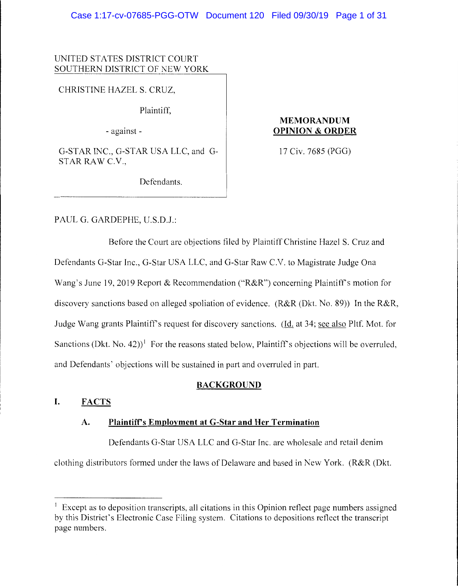### UNITED STATES DISTRICT COURT SOUTHERN DISTRICT OF NEW YORK

CHRISTINE HAZELS. CRUZ,

Plaintiff,

- against -

G-STAR INC., G-STAR USA LLC, and G-STAR RAW C.V.,

### **MEMORANDUM OPINION & ORDER**

17 Civ. 7685 (PGG)

Defendants.

PAUL G. GARDEPHE, U.S.D.J.:

Before the Court are objections filed by Plaintiff Christine Hazel S. Cruz and Defendants G-Star Inc., G-Star USA LLC, and G-Star Raw C.V. to Magistrate Judge Ona Wang's June 19, 2019 Report & Recommendation ("R&R") concerning Plaintiff's motion for discovery sanctions based on alleged spoliation of evidence. (R&R (Dkt. No. 89)) In the R&R, Judge Wang grants Plaintiff's request for discovery sanctions. (Id. at 34; see also **Pltf.** Mot. for Sanctions (Dkt. No. 42)<sup>1</sup> For the reasons stated below, Plaintiff's objections will be overruled, and Defendants' objections will be sustained in part and overruled in part.

# **BACKGROUND**

# **I. FACTS**

# **A. Plaintiff's Employment at G-Star and Her Termination**

Defendants G-Star USA LLC and G-Star Inc. are wholesale and retail denim clothing distributors formed under the laws of Delaware and based in New York. (R&R (Dkt.

 $\frac{1}{1}$  Except as to deposition transcripts, all citations in this Opinion reflect page numbers assigned by this District's Electronic Case Filing system. Citations to depositions reflect the transcript page numbers.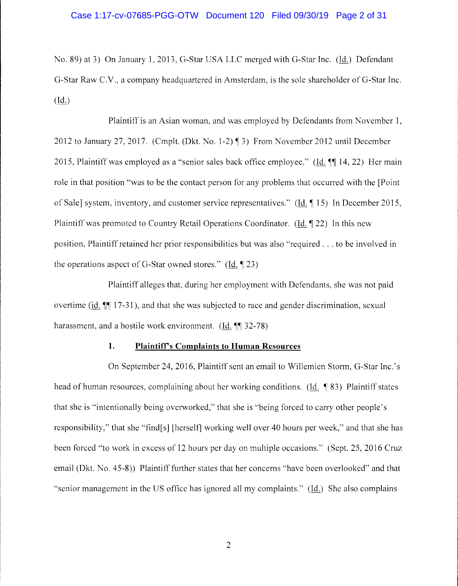No. 89) at 3) On January 1, 2013, G-Star USA LLC merged with G-Star Inc. (Id.) Defendant G-Star Raw C.V., a company headquartered in Amsterdam, is the sole shareholder of G-Star Inc. (Id.)

Plaintiff is an Asian woman, and was employed by Defendants from November 1, 2012 to January 27, 2017. (Cmplt. (Dkt. No. 1-2)  $\P$  3) From November 2012 until December 2015, Plaintiff was employed as a "senior sales back office employee." (Id.  $\P$  14, 22) Her main role in that position "was to be the contact person for any problems that occurred with the [Point of Sale] system, inventory, and customer service representatives." (Id. 15) In December 2015, Plaintiff was promoted to Country Retail Operations Coordinator. (Id.  $\P$  22) In this new position, Plaintiff retained her prior responsibilities but was also "required ... to be involved in the operations aspect of G-Star owned stores." (Id.  $\parallel$  23)

Plaintiff alleges that, during her employment with Defendants, she was not paid overtime (id. **II** 17-31), and that she was subjected to race and gender discrimination, sexual harassment, and a hostile work environment.  $(Id. \mathcal{F} \mathcal{F} \mathcal{F} \mathcal{F})$ 

#### **1. Plaintiff's Complaints to Human Resources**

On September 24, 2016, Plaintiff sent an email to Willemien Storm, G-Star Inc.' s head of human resources, complaining about her working conditions. (Id.  $\P$ 83) Plaintiff states that she is "intentionally being overworked," that she is "being forced to carry other people's responsibility," that she "find[s] [herself] working well over 40 hours per week," and that she has been forced "to work in excess of 12 hours per day on multiple occasions." (Sept. 25, 2016 Cruz email (Dkt. No. 45-8)) Plaintiff further states that her concerns "have been overlooked" and that "senior management in the US office has ignored all my complaints."  $(\underline{Id.})$  She also complains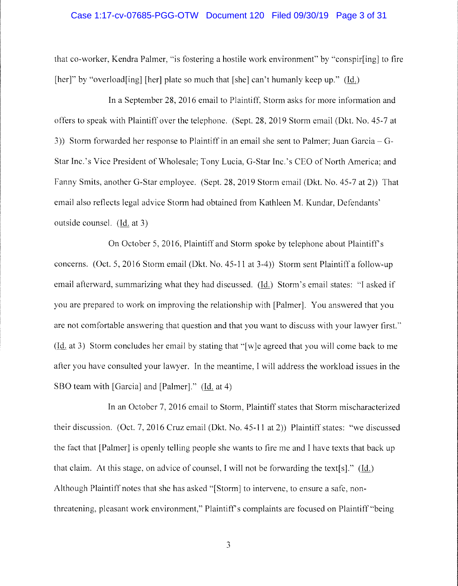### Case 1:17-cv-07685-PGG-OTW Document 120 Filed 09/30/19 Page 3 of 31

that co-worker, Kendra Palmer, "is fostering a hostile work environment" by "conspir[ing] to fire [her]" by "overload[ing] [her] plate so much that [she] can't humanly keep up." (Id.)

In a September 28, 2016 email to Plaintiff, Storm asks for more information and offers to speak with Plaintiff over the telephone. (Sept. 28, 2019 Storm email (0kt. No. 45-7 at 3)) Storm forwarded her response to Plaintiff in an email she sent to Palmer; Juan Garcia- G-Star Inc.'s Vice President of Wholesale; Tony Lucia, G-Star Inc.'s CEO of North America; and Fanny Smits, another G-Star employee. (Sept. 28, 2019 Storm email (0kt. No. 45-7 at 2)) That email also reflects legal advice Storm had obtained from Kathleen M. Kundar, Defendants' outside counsel. (Id. at 3)

On October 5, 2016, Plaintiff and Storm spoke by telephone about Plaintiff's concerns. (Oct. 5, 2016 Storm email (Dkt. No. 45-11 at 3-4)) Storm sent Plaintiff a follow-up email afterward, summarizing what they had discussed. (Id.) Storm's email states: "I asked if you are prepared to work on improving the relationship with [Palmer]. You answered that you are not comfortable answering that question and that you want to discuss with your lawyer first." (Id. at 3) Storm concludes her email by stating that ·'[w]e agreed that you will come back to me after you have consulted your lawyer. In the meantime, I will address the workload issues in the SBO team with [Garcia] and [Palmer]." (Id. at 4)

In an October 7, 2016 email to Storm, Plaintiff states that Storm mischaracterized their discussion. (Oct. 7, 2016 Cruz email (Dkt. No. 45-11 at 2)) Plaintiff states: "we discussed the fact that [Palmer] is openly telling people she wants to fire me and I have texts that back up that claim. At this stage, on advice of counsel, I will not be forwarding the text[s]." (Id.) Although Plaintiff notes that she has asked "[Storm] to intervene, to ensure a safe, nonthreatening, pleasant work environment," Plaintiff's complaints are focused on Plaintiff "being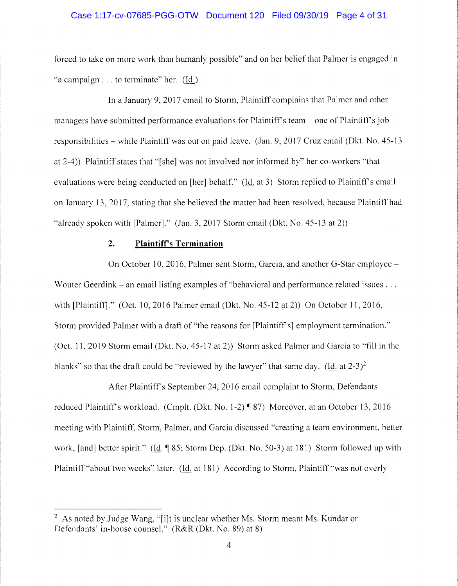### Case 1:17-cv-07685-PGG-OTW Document 120 Filed 09/30/19 Page 4 of 31

forced to take on more work than humanly possible" and on her belief that Palmer is engaged in ·'a campaign ... to terminate" her. (Id.)

In a January 9, 2017 email to Storm, Plaintiff complains that Palmer and other managers have submitted performance evaluations for Plaintiff's team – one of Plaintiff's job responsibilities - while Plaintiff was out on paid leave. (Jan. 9, 2017 Cruz email (Dkt. No. 45-13 at 2-4)) Plaintiff states that "[she] was not involved nor informed by'' her co-workers "that evaluations were being conducted on [her] behalf." (Id. at 3) Storm replied to Plaintiff's email on January 13, 2017, stating that she believed the matter had been resolved, because Plaintiff had "already spoken with [Palmer]." (Jan. 3, 2017 Storm email (Dkt. No. 45-13 at 2))

#### **2. Plaintifrs Termination**

On October 10, 2016, Palmer sent Storm, Garcia, and another G-Star employee - Wouter Geerdink – an email listing examples of "behavioral and performance related issues  $\dots$ with [Plaintiff]." (Oct. 10, 2016 Palmer email (Dkt. No. 45-12 at 2)) On October 11, 2016, Storm provided Palmer with a draft of "the reasons for [Plaintiff's] employment termination." (Oct. 11, 2019 Storm email (Dkt. No. 45-17 at 2)) Storm asked Palmer and Garcia to "fill in the blanks" so that the draft could be "reviewed by the lawyer" that same day. (Id. at  $2-3$ )<sup>2</sup>

After Plaintiff's September 24, 2016 email complaint to Storm, Defendants reduced Plaintiff's workload. (Cmplt. (Dkt. No. 1-2) ¶ 87) Moreover, at an October 13, 2016 meeting with Plaintiff, Storm, Palmer, and Garcia discussed "creating a team environment, better work, [and] better spirit." (Id. ¶ 85; Storm Dep. (Dkt. No. 50-3) at 181) Storm followed up with Plaintiff "about two weeks" later. (Id. at 181) According to Storm, Plaintiff "was not overly

<sup>&</sup>lt;sup>2</sup> As noted by Judge Wang, "[i]t is unclear whether Ms. Storm meant Ms. Kundar or Defendants' in-house counsel." (R&R (Dkt. No. 89) at 8)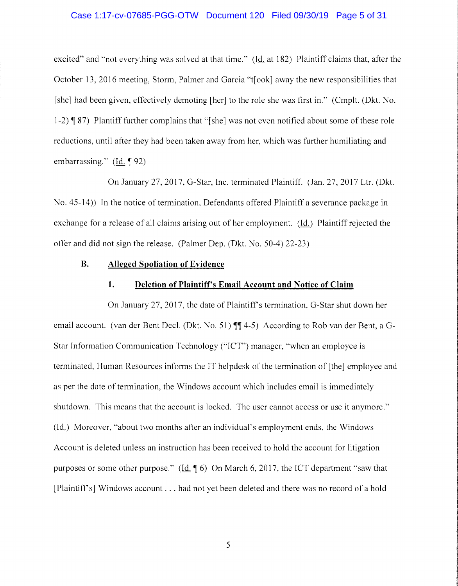#### Case 1:17-cv-07685-PGG-OTW Document 120 Filed 09/30/19 Page 5 of 31

excited" and "not everything was solved at that time." (Id. at 182) Plaintiff claims that, after the October 13, 2016 meeting, Storm, Palmer and Garcia "t[ook] away the new responsibilities that [she] had been given, effectively demoting [her] to the role she was first in." (Cmplt. (Dkt. No. 1-2) ¶ 87) Plantiff further complains that "[she] was not even notified about some of these role reductions, until after they had been taken away from her, which was further humiliating and embarrassing."  $(Id. \P 92)$ 

On January 27, 2017, G-Star, Inc. terminated Plaintiff. (Jan. 27, 2017 Ltr. (Dkt. No. 45-14)) In the notice of termination, Defendants offered Plaintiff a severance package in exchange for a release of all claims arising out of her employment. (1d.) Plaintiff rejected the offer and did not sign the release. (Palmer Dep. (Dkt. No. 50-4) 22-23)

#### **B. Alleged Spoliation of Evidence**

#### **1. Deletion of Plaintiff's Email Account and Notice of Claim**

On January 27, 2017, the date of Plaintiff's termination, G-Star shut down her email account. (van der Bent Decl. (Dkt. No. 51) **\in** 4-5) According to Rob van der Bent, a G-S tar Information Communication Technology ("ICT") manager, "when an employee is terminated, Human Resources informs the IT helpdesk of the termination of [the] employee and as per the date of termination, the Windows account which includes email is immediately shutdown. This means that the account is locked. The user cannot access or use it anymore." (Id.) Moreover, "about two months after an individual's employment ends, the Windows Account is deleted unless an instruction has been received to hold the account for litigation purposes or some other purpose." (Id. 16) On March 6, 2017, the ICT department "saw that [Plaintiff's] Windows account ... had not yet been deleted and there was no record of a hold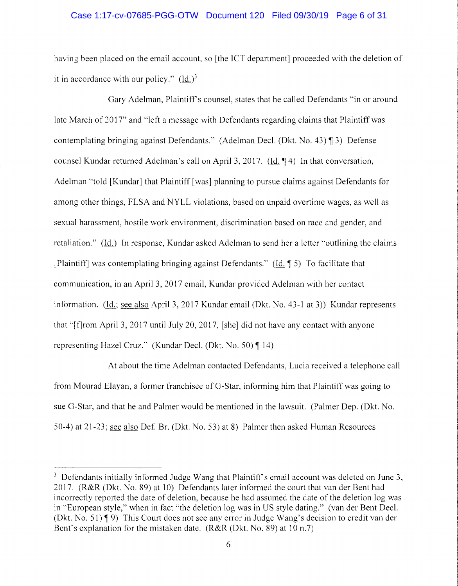### Case 1:17-cv-07685-PGG-OTW Document 120 Filed 09/30/19 Page 6 of 31

having been placed on the email account, so [the ICT department] proceeded with the deletion of it in accordance with our policy."  $(Id.)<sup>3</sup>$ 

Gary Adelman, Plaintiff's counsel, states that he called Defendants "in or around late March of 2017" and "left a message with Defendants regarding claims that Plaintiff was contemplating bringing against Defendants." (Adelman Decl. (Dkt. No. 43)  $\lceil 3 \rceil$  Defense counsel Kundar returned Adelman's call on April 3, 2017. (Id.  $\P$  4) In that conversation, Adelman "told [Kundar] that Plaintiff [was] planning to pursue claims against Defendants for among other things, FLSA and NYLL violations, based on unpaid overtime wages, as well as sexual harassment, hostile work environment, discrimination based on race and gender, and retaliation." (Id.) In response, Kundar asked Adelman to send her a letter "outlining the claims [Plaintiff] was contemplating bringing against Defendants." (Id.  $\parallel$  5) To facilitate that communication, in an April 3, 2017 email, Kundar provided Adelman with her contact information. (Id.; see also April 3, 2017 Kundar email (Dkt. No. 43-1 at 3)) Kundar represents that '"[f]rom April 3, 2017 until July 20, 2017, [she] did not have any contact with anyone representing Hazel Cruz." (Kundar Decl. (Dkt. No. 50)  $\P$  14)

At about the time Adelman contacted Defendants, Lucia received a telephone call from Mourad Elayan, a former franchisee of G-Star, informing him that Plaintiff was going to sue G-Star, and that he and Palmer would be mentioned in the lawsuit. (Palmer Dep. (0kt. No. 50-4) at 21-23; see also Def. Br. (Dkt. No. 53) at 8) Palmer then asked Human Resources

 $3$  Defendants initially informed Judge Wang that Plaintiff's email account was deleted on June 3, 2017. (R&R (0kt. No. 89) at 10) Defendants later informed the court that van der Bent had incorrectly reported the date of deletion, because he had assumed the date of the deletion log was in ''European style," when in fact ''the deletion log was in US style dating." (van der Bent Deel. (Dkt. No. 51)  $\P$  9) This Court does not see any error in Judge Wang's decision to credit van der Bent's explanation for the mistaken date. (R&R (Dkt. No. 89) at 10 n.7)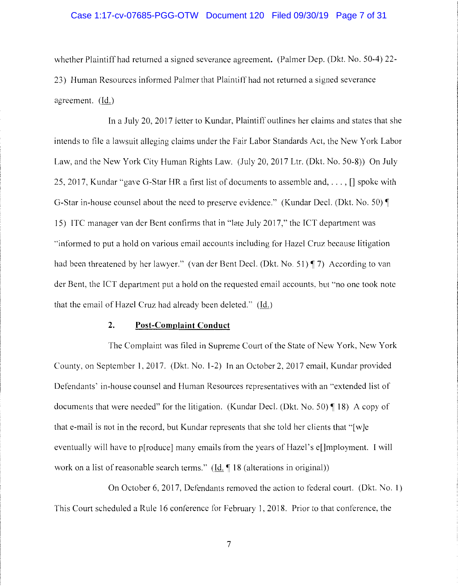# Case 1:17-cv-07685-PGG-OTW Document 120 Filed 09/30/19 Page 7 of 31

whether Plaintiff had returned a signed severance agreement. (Palmer Dep. (Dkt. No. 50-4) 22- 23) Human Resources informed Palmer that Plaintiff had not returned a signed severance agreement. (Id.)

In a July 20, 2017 letter to Kundar, Plaintiff outlines her claims and states that she intends to file a lawsuit alleging claims under the Fair Labor Standards Act, the New York Labor Law, and the New York City Human Rights Law. (July 20, 2017 Ltr. (Dkt. No. 50-8)) On July 25, 2017, Kundar "gave G-Star HR a first list of documents to assemble and, ... , [] spoke with G-Star in-house counsel about the need to preserve evidence." (Kundar Decl. (Dkt. No. 50) 15) ITC manager van der Bent confirms that in "late July 2017," the ICT department was •'informed to put a hold on various email accounts including for Hazel Cruz because litigation had been threatened by her lawyer." (van der Bent Decl. (Dkt. No. 51) ¶ 7) According to van der Bent, the ICT department put a hold on the requested email accounts, but "no one took note that the email of Hazel Cruz had already been deleted."  $(\underline{Id.})$ 

#### **2. Post-Complaint Conduct**

The Complaint was filed in Supreme Court of the State of New York, New York County, on September 1, 2017. (Dkt. No. 1-2) In an October 2, 2017 email, Kundar provided Defendants' in-house counsel and Human Resources representatives with an "extended list of documents that were needed" for the litigation. (Kundar Decl. (Dkt. No. 50)  $\P$  18) A copy of that e-mail is not in the record, but Kundar represents that she told her clients that "[w]e eventually will have to p[roduce] many emails from the years of Hazel's e[]mployment. I will work on a list of reasonable search terms."  $(\underline{Id}, \P \ 18 \$  (alterations in original))

On October 6, 2017, Defendants removed the action to federal court. (Dkt. No. 1) This Court scheduled a Rule 16 conference for February 1, 2018. Prior to that conference, the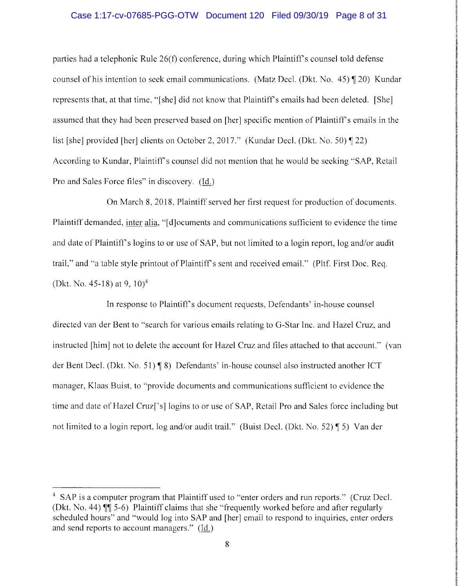### Case 1:17-cv-07685-PGG-OTW Document 120 Filed 09/30/19 Page 8 of 31

parties had a telephonic Rule 26(f) conference, during which Plaintiff's counsel told defense counsel of his intention to seek email communications. (Matz Decl. (Dkt. No.  $45$ )  $\sqrt{20}$ ) Kundar represents that, at that time, ''[she] did not know that Plaintiff's emails had been deleted. [She] assumed that they had been preserved based on [her] specific mention of Plaintiff's emails in the list [she] provided [her] clients on October 2, 2017." (Kundar Decl. (Dkt. No. 50) **[22)** According to Kundar, Plaintiff's counsel did not mention that he would be seeking "SAP, Retail Pro and Sales Force files" in discovery. (Id.)

On March 8, 2018, Plaintiff served her first request for production of documents. Plaintiff demanded, inter alia, "[ d]ocuments and communications sufficient to evidence the time and date of Plaintiff's logins to or use of SAP, but not limited to a login report, log and/or audit trail," and "a table style printout of Plaintiff's sent and received email." (Pltf. First Doc. Reg. (Dkt. No. 45-18) at 9,  $10<sup>4</sup>$ 

In response to Plaintiff's document requests, Defendants' in-house counsel directed van der Bent to "search for various emails relating to G-Star Inc. and Hazel Cruz, and instructed [him] not to delete the account for Hazel Cruz and files attached to that account." (van der Bent Decl. (Dkt. No. 51) **[8]** Defendants' in-house counsel also instructed another ICT manager, Klaas Buist, to "provide documents and communications sufficient to evidence the time and date of Hazel Cruz['s] logins to or use of SAP, Retail Pro and Sales force including but not limited to a login report, log and/or audit trail." (Buist Decl. (Dkt. No. 52) ¶ 5) Van der

<sup>&</sup>lt;sup>4</sup> SAP is a computer program that Plaintiff used to "enter orders and run reports." (Cruz Decl. (Dkt. No. 44) **11** 5-6) Plaintiff claims that she "frequently worked before and after regularly scheduled hours" and "would log into SAP and [her] email to respond to inquiries, enter orders and send reports to account managers." (Id.)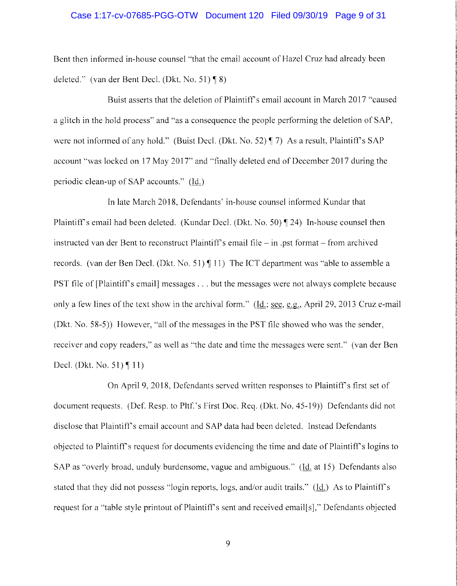#### Case 1:17-cv-07685-PGG-OTW Document 120 Filed 09/30/19 Page 9 of 31

Bent then informed in-house counsel "that the email account of Hazel Cruz had already been deleted." (van der Bent Decl. (Dkt. No. 51)  $\P$ 8)

Buist asserts that the deletion of Plaintiff's email account in March 2017 "caused a glitch in the hold process" and "as a consequence the people performing the deletion of SAP, were not informed of any hold." (Buist Decl. (Dkt. No. 52)  $\P$  7) As a result, Plaintiff's SAP account "was locked on 17 May 2017" and "finally deleted end of December 2017 during the periodic clean-up of SAP accounts." (Id.)

In late March 2018, Defendants' in-house counsel informed Kundar that Plaintiff's email had been deleted. (Kundar Decl. (Dkt. No. 50)  $\P$  24) In-house counsel then instructed van der Bent to reconstruct Plaintiff's email file  $-$  in .pst format  $-$  from archived records. (van der Ben Decl. (Dkt. No. 51)  $\P$  11) The ICT department was "able to assemble a PST file of [Plaintiff's email] messages ... but the messages were not always complete because only a few lines of the text show in the archival form." (Id.; see, e.g., April 29, 2013 Cruz e-mail (Dkt. No. 58-5)) However, "all of the messages in the PST file showed who was the sender, receiver and copy readers," as well as "the date and time the messages were sent." (van der Ben Decl. (Dkt. No. 51) $\P$  11)

On April 9, 2018, Defendants served written responses to Plaintiff's first set of document requests. (Def. Resp. to Pltf.'s First Doc. Req. (Dkt. No. 45-19)) Defendants did not disclose that Plaintiff's email account and SAP data had been deleted. Instead Defendants objected to Plaintiff's request for documents evidencing the time and date of Plaintiff's logins to SAP as "overly broad, unduly burdensome, vague and ambiguous." (Id. at 15) Defendants also stated that they did not possess "login reports, logs, and/or audit trails.'' (Id.) As to Plaintiff's request for a "table style printout of Plaintiff's sent and received email[s]," Defendants objected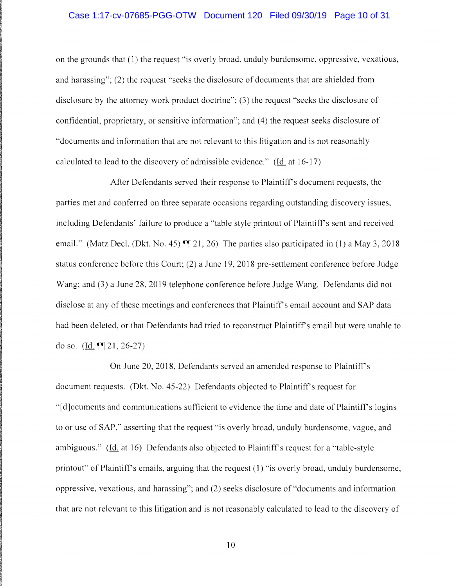### Case 1:17-cv-07685-PGG-OTW Document 120 Filed 09/30/19 Page 10 of 31

on the grounds that (1) the request ·'is overly broad, unduly burdensome, oppressive, vexatious, and harassing"; (2) the request "seeks the disclosure of documents that are shielded from disclosure by the attorney work product doctrine"; (3) the request "seeks the disclosure of confidential, proprietary, or sensitive information"; and (4) the request seeks disclosure of "documents and information that are not relevant to this litigation and is not reasonably calculated to lead to the discovery of admissible evidence." (Id. at 16-17)

After Defendants served their response to Plaintiff's document requests, the parties met and conferred on three separate occasions regarding outstanding discovery issues, including Defendants' failure to produce a "table style printout of Plaintiff's sent and received email." (Matz Decl. (Dkt. No. 45)  $\P$  $[21, 26)$  The parties also participated in (1) a May 3, 2018 status conference before this Court; (2) a June 19, 2018 pre-settlement conference before Judge Wang; and (3) a June 28, 2019 telephone conference before Judge Wang. Defendants did not disclose at any of these meetings and conferences that Plaintiff's email account and SAP data had been deleted, or that Defendants had tried to reconstruct Plaintiff's email but were unable to do so.  $(Id. \P\P 21, 26-27)$ 

On June 20, 2018, Defendants served an amended response to Plaintiff's document requests. (Dkt. No. 45-22) Defendants objected to Plaintiff's request for ''[ d]ocuments and communications sufficient to evidence the time and date of Plaintiff's logins to or use of SAP," asserting that the request "is overly broad, unduly burdensome, vague, and ambiguous." (Id. at 16) Defendants also objected to Plaintiff's request for a ''table-style printout" of Plaintiff's emails, arguing that the request (1) "is overly broad, unduly burdensome, oppressive, vexatious, and harassing"; and (2) seeks disclosure of "documents and information that are not relevant to this litigation and is not reasonably calculated to lead to the discovery of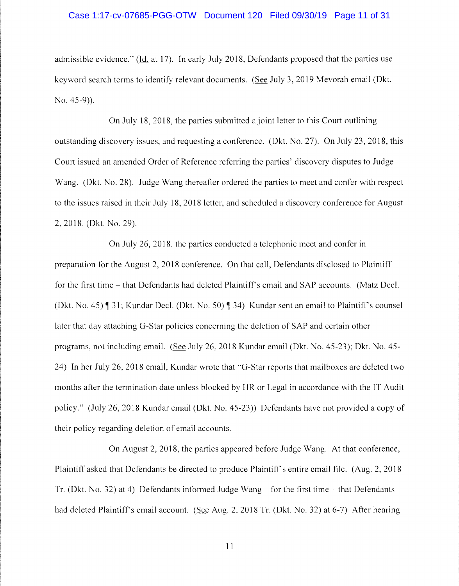### Case 1:17-cv-07685-PGG-OTW Document 120 Filed 09/30/19 Page 11 of 31

admissible evidence." (Id. at 17). In early July 2018, Defendants proposed that the parties use keyword search terms to identify relevant documents. (See July 3, 2019 Mevorah email (Dkt. No. 45-9)).

On July 18, 2018, the parties submitted a joint letter to this Court outlining outstanding discovery issues, and requesting a conference. (Dkt. No. 27). On July 23, 2018, this Court issued an amended Order of Reference referring the parties' discovery disputes to Judge Wang. (Dkt. No. 28). Judge Wang thereafter ordered the parties to meet and confer with respect to the issues raised in their July 18, 2018 letter, and scheduled a discovery conference for August 2, 2018. (Dkt. No. 29).

On July 26, 2018, the parties conducted a telephonic meet and confer in preparation for the August 2, 2018 conference. On that call, Defendants disclosed to Plaintiff for the first time – that Defendants had deleted Plaintiff's email and SAP accounts. (Matz Decl. (Dkt. No. 45)  $\P$  31; Kundar Decl. (Dkt. No. 50)  $\P$  34) Kundar sent an email to Plaintiff's counsel later that day attaching G-Star policies concerning the deletion of SAP and certain other programs, not including email. (See July 26, 2018 Kundar email (Dkt. No. 45-23); Dkt. No. 45- 24) In her July 26, 2018 email, Kundar wrote that "G-Star reports that mailboxes are deleted two months after the termination date unless blocked by HR or Legal in accordance with the IT Audit policy." (July 26, 2018 Kundar email (Dkt. No. 45-23)) Defendants have not provided a copy of their policy regarding deletion of email accounts.

On August 2, 2018, the parties appeared before Judge Wang. At that conference, Plaintiff asked that Defendants be directed to produce Plaintiff's entire email file. (Aug. 2, 2018 Tr. (Dkt. No. 32) at 4) Defendants informed Judge Wang - for the first time - that Defendants had deleted Plaintiff's email account. (See Aug. 2, 2018 Tr. (Dkt. No. 32) at 6-7) After hearing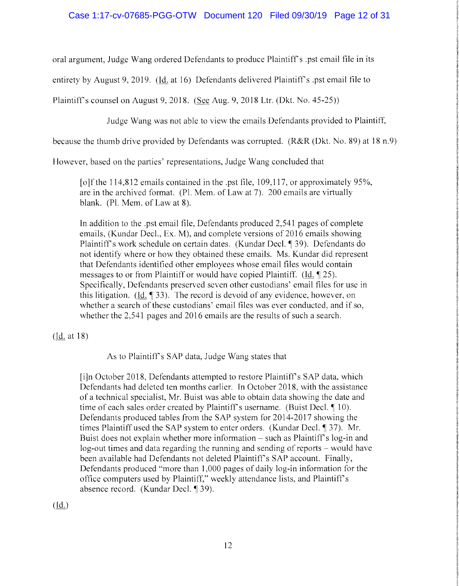oral argument, Judge Wang ordered Defendants to produce Plaintiff's .pst email file in its

entirety by August 9, 2019. (Id. at 16) Defendants delivered Plaintiff's .pst email file to

Plaintiff's counsel on August 9, 2018. (See Aug. 9, 2018 Ltr. (Dkt. No. 45-25))

Judge Wang was not able to view the emails Defendants provided to Plaintiff,

because the thumb drive provided by Defendants was corrupted. (R&R (Dkt. No. 89) at 18 n. 9)

However, based on the parties' representations, Judge Wang concluded that

[o]f the  $114,812$  emails contained in the .pst file, 109,117, or approximately 95%, are in the archived format. (Pl. Mem. of Law at 7). 200 emails are virtually blank. (Pl. Mem. of Law at 8).

In addition to the .pst email file, Defendants produced 2,541 pages of complete emails, (Kundar Deel., Ex. M), and complete versions of 2016 emails showing Plaintiff's work schedule on certain dates. (Kundar Decl. ¶ 39). Defendants do not identify where or how they obtained these emails. Ms. Kundar did represent that Defendants identified other employees whose email files would contain messages to or from Plaintiff or would have copied Plaintiff. (Id.  $\llbracket 25$ ). Specifically, Defendants preserved seven other custodians' email files for use in this litigation. (Id.  $\llbracket 33 \rrbracket$ ). The record is devoid of any evidence, however, on whether a search of these custodians' email files was ever conducted, and if so, whether the 2,541 pages and 2016 emails are the results of such a search.

(ld: at 18)

As to Plaintiffs SAP data, Judge Wang states that

[i]n October 2018, Defendants attempted to restore Plaintiff's SAP data, which Defendants had deleted ten months earlier. In October 2018, with the assistance of a technical specialist, Mr. Buist was able to obtain data showing the date and time of each sales order created by Plaintiff's username. (Buist Decl.  $\P$  10). Defendants produced tables from the SAP system for 2014-2017 showing the times Plaintiff used the SAP system to enter orders. (Kundar Decl. ¶ 37). Mr. Buist does not explain whether more information - such as Plaintiff's log-in and log-out times and data regarding the running and sending of reports - would have been available had Defendants not deleted Plaintiff's SAP account. Finally, Defendants produced "more than 1,000 pages of daily log-in information for the ofiice computers used by Plaintiff," weekly attendance lists, and Plaintiff's absence record. (Kundar Decl. ¶ 39).

 $(\mathrm{Id.})$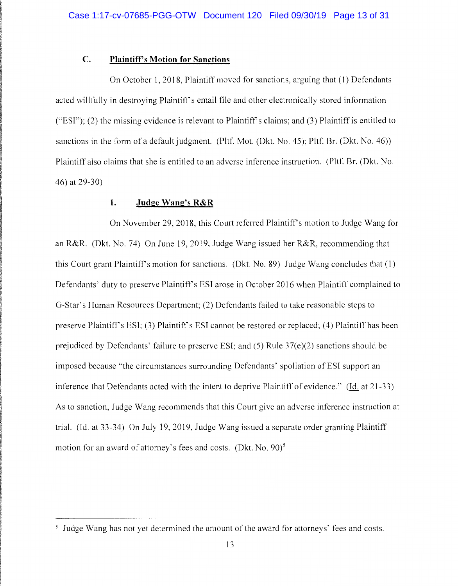### **C. Plaintiff's Motion for Sanctions**

On October 1, 2018, Plaintiff moved for sanctions, arguing that ( 1) Defendants acted willfully in destroying Plaintiff's email file and other electronically stored information ("'ESI"); (2) the missing evidence is relevant to Plaintiffs claims; and (3) Plaintiff is entitled to sanctions in the form of a default judgment. (Pltf. Mot. (Dkt. No. 45); Pltf. Br. (Dkt. No. 46)) Plaintiff also claims that she is entitled to an adverse inference instruction. (Pltf. Br. (Dkt. No. 46) at 29-30)

#### **1. Judge Wang's R&R**

On November 29, 2018, this Court referred Plaintiff's motion to Judge Wang for an R&R. (Dkt. No. 74) On June 19, 2019, Judge Wang issued her R&R, recommending that this Court grant Plaintiff's motion for sanctions. (Dkt. No. 89) Judge Wang concludes that (1) Defendants' duty to preserve Plaintiff's ESI arose in October 2016 when Plaintiff complained to G-Star's Human Resources Department; (2) Defendants failed to take reasonable steps to preserve Plaintiff's ESI; (3) Plaintiff's ESI cannot be restored or replaced; (4) Plaintiff has been prejudiced by Defendants' failure to preserve ESI; and  $(5)$  Rule 37(e)(2) sanctions should be imposed because "the circumstances surrounding Defendants' spoliation of ESI support an inference that Defendants acted with the intent to deprive Plaintiff of evidence." (Id. at 21-33) As to sanction, Judge Wang recommends that this Court give an adverse inference instruction at trial. (Id. at 33-34) On July 19, 2019, Judge Wang issued a separate order granting Plaintiff motion for an award of attorney's fees and costs. (Dkt. No.  $90$ )<sup>5</sup>

<sup>&</sup>lt;sup>5</sup> Judge Wang has not yet determined the amount of the award for attorneys' fees and costs.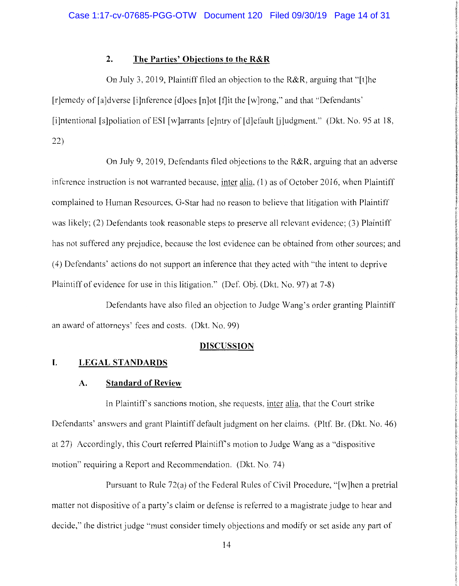### **2. The Parties' Objections to the R&R**

On July 3, 2019, Plaintiff filed an objection to the R&R, arguing that "[t]he [r]emedy of [a]dverse [i]nference [d]oes [n]ot [f]it the [w]rong," and that "Defendants" [iJntentional [s]poliation ofESI [w]arrants [e]ntry of [d]efault [j]udgment." (Dkt. No. 95 at 18, 22)

On July 9, 2019, Defendants filed objections to the R&R, arguing that an adverse inference instruction is not warranted because, inter alia, (1) as of October 2016, when Plaintiff complained to Human Resources, G-Star had no reason to believe that litigation with Plaintiff was likely; (2) Defendants took reasonable steps to preserve all relevant evidence; (3) Plaintiff has not suffered any prejudice, because the lost evidence can be obtained from other sources; and (4) Defendants' actions do not support an inference that they acted with "the intent to deprive Plaintiff of evidence for use in this litigation." (Def. Obj. (Dkt. No. 97) at 7-8)

Defendants have also filed an objection to Judge Wang's order granting Plaintiff an award of attorneys' fees and costs. (Dkt. No. 99)

#### **DISCUSSION**

#### **I. LEGAL STANDARDS**

#### **A. Standard of Review**

In Plaintiff's sanctions motion, she requests, inter alia, that the Court strike Defendants' answers and grant Plaintiff default judgment on her claims. (Pltf. Br. (Dkt. No. 46) at 27) Accordingly, this Court referred Plaintiff's motion to Judge Wang as a "dispositive motion" requiring a Report and Recommendation. (Dkt. No. 74)

Pursuant to Rule 72(a) of the Federal Rules of Civil Procedure, "[w]hen a pretrial matter not dispositive of a party's claim or defense is referred to a magistrate judge to hear and decide," the district judge "must consider timely objections and modify or set aside any part of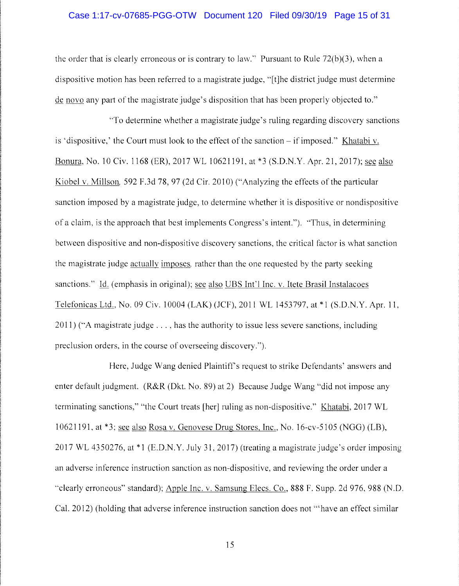### Case 1:17-cv-07685-PGG-OTW Document 120 Filed 09/30/19 Page 15 of 31

the order that is clearly erroneous or is contrary to law." Pursuant to Rule  $72(b)(3)$ , when a dispositive motion has been referred to a magistrate judge, "[t]he district judge must determine de novo any part of the magistrate judge's disposition that has been properly objected to."

"To determine whether a magistrate judge's ruling regarding discovery sanctions is 'dispositive,' the Court must look to the effect of the sanction  $-i$  imposed." Khatabi v. Bonura, No. 10 Civ. 1168 (ER), 2017 WL 10621191, at \*3 (S.D.N.Y. Apr. 21, 2017); sec also Kiobel v. Millson, 592 F.3d 78, 97 (2d Cir. 2010) ("Analyzing the effects of the particular sanction imposed by a magistrate judge, to determine whether it is dispositive or nondispositive of a claim, is the approach that best implements Congress's intent."). "'Thus, in determining between dispositive and non-dispositive discovery sanctions, the critical factor is what sanction the magistrate judge actually imposes, rather than the one requested by the party seeking sanctions." Id. (emphasis in original); see also UBS Int'l Inc. v. Itete Brasil Instalacoes Telefonicas Ltd., No. 09 Civ. 10004 (LAK) (JCF), 2011 WL 1453797, at \*l (S.D.N.Y. Apr. 11, 2011) (''A magistrate judge ... , has the authority to issue less severe sanctions, including preclusion orders, in the course of overseeing discovery.'').

Here, Judge Wang denied Plaintiffs request to strike Defendants' answers and enter default judgment. (R&R (Dkt. No. 89) at 2) Because Judge Wang "did not impose any terminating sanctions," "the Court treats [her] ruling as non-dispositivc." Khatabi, 2017 WL 10621191, at \*3; see also Rosa v. Genovese Drug Stores, Inc., No. 16-cv-5105 (NGG) (LB), 2017 WL 4350276, at \*1 (E.D.N.Y. July 31, 2017) (treating a magistrate judge's order imposing an adverse inference instruction sanction as non-dispositive, and reviewing the order under a "clearly erroneous" standard); Apple Inc. v. Samsung Elecs. Co., 888 F. Supp. 2d 976, 988 (N.D. Cal. 2012) (holding that adverse inference instruction sanction does not "'have an effect similar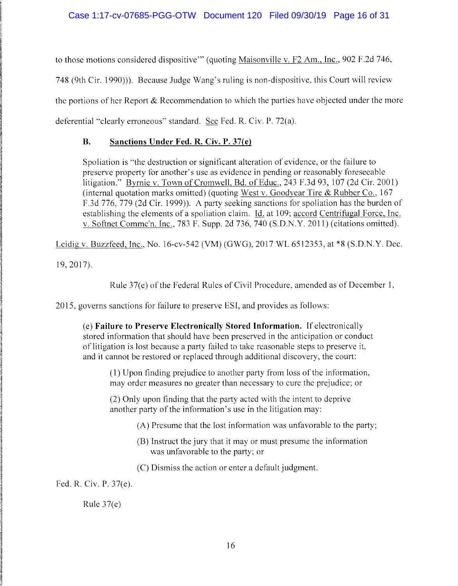to those motions considered dispositive"' (quoting Maisonville v. F2 Am., Inc., 902 F.2d 746, 748 (9th Cir. 1990))). Because Judge Wang's ruling is non-dispositive, this Court will review the portions of her Report  $\&$  Recommendation to which the parties have objected under the more deferential ''clearly erroneous" standard. See Fed. R. Civ. P. 72(a).

## **B. Sanctions Under Fed. R. Civ. P. 37(e)**

Spoliation is "the destruction or significant alteration of evidence, or the failure to preserve property for another's use as evidence in pending or reasonably foreseeable litigation." Byrnie v. Town of Cromwell, Bd. of Educ., 243 F.3d 93, 107 (2d Cir. 2001) (internal quotation marks omitted) (quoting West v. Goodyear Tire & Rubber Co., 167 F.3d 776, 779 (2d Cir. 1999)). A party seeking sanctions for spoliation has the burden of establishing the elements of a spoliation claim. Id. at 109; accord Centrifugal Force, Inc. v. Softnet Commc'n, Inc., 783 F. Supp. 2d 736, 740 (S.D.N.Y. 2011) (citations omitted).

Leidig v. Buzzfeed, Inc., No. 16-cv-542 (VM) (GWG), 2017 WL 6512353, at \*8 (S.D.N.Y. Dec.

19,2017).

Rule 37(e) of the Federal Rules of Civil Procedure, amended as of December 1,

2015. governs sanctions for failure to preserve ESI, and provides as follows:

( e) **Failure to Preserve Electronically Stored Information.** If electronically stored information that should have been preserved in the anticipation or conduct of litigation is lost because a party failed to take reasonable steps to preserve it, and it cannot be restored or replaced through additional discovery, the court:

(1) Upon finding prejudice to another party from loss of the information, may order measures no greater than necessary to cure the prejudice; or

(2) Only upon finding that the party acted with the intent to deprive another party of the information's use in the litigation may:

(A) Presume that the lost information was unfavorable to the party;

(B) Instruct the jury that it may or must presume the information was unfavorable to the party; or

(C) Dismiss the action or enter a default judgment.

Fed. R. Civ. P. 37(e).

Rule 37(e)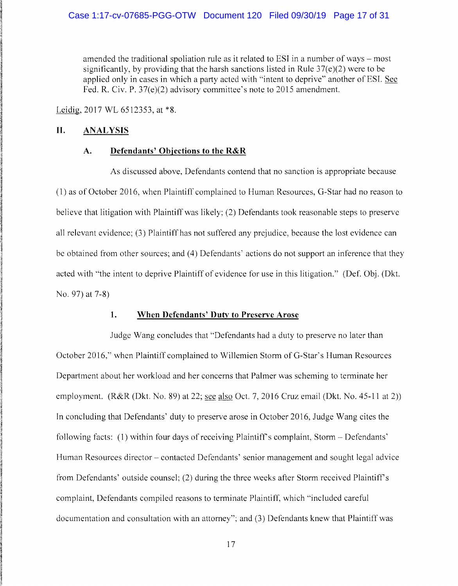amended the traditional spoliation rule as it related to ESI in a number of ways – most significantly, by providing that the harsh sanctions listed in Rule 37(e)(2) were to be applied only in cases in which a party acted with "intent to deprive" another of ESL Sec Fed. R. Civ. P. 37(e)(2) advisory committee's note to 2015 amendment.

Leidig, 2017 WL 6512353, at \*8.

### **II. ANALYSIS**

#### **A. Defendants' Objections to the R&R**

As discussed above, Defendants contend that no sanction is appropriate because ( 1) as of October 2016, when Plaintiff complained to Human Resources, G-Star had no reason to believe that litigation with Plaintiff was likely; (2) Defendants took reasonable steps to preserve all relevant evidence; (3) Plaintiff has not suffered any prejudice, because the lost evidence can be obtained from other sources; and (4) Defendants' actions do not support an inference that they acted with ''the intent to deprive Plaintiff of evidence for use in this litigation." (Def. Obj. (Dkt. No. 97) at 7-8)

#### **1. When Defendants' Duty to Preserve Arose**

Judge Wang concludes that "Defendants had a duty to preserve no later than October 2016," when Plaintiff complained to Willemicn Storm of G-Star' s Human Resources Department about her workload and her concerns that Palmer was scheming to terminate her employment. (R&R (Dkt. No. 89) at 22; see also Oct. 7, 2016 Cruz email (Dkt. No. 45-11 at 2)) In concluding that Defendants' duty to preserve arose in October 2016, Judge Wang cites the following facts: (1) within four days of receiving Plaintiff's complaint, Storm – Defendants' Human Resources director – contacted Defendants' senior management and sought legal advice from Defendants' outside counsel; (2) during the three weeks after Storm received Plaintiffs complaint, Defendants compiled reasons to terminate Plaintiff, which "included careful documentation and consultation with an attorney"; and (3) Defendants knew that Plaintiff was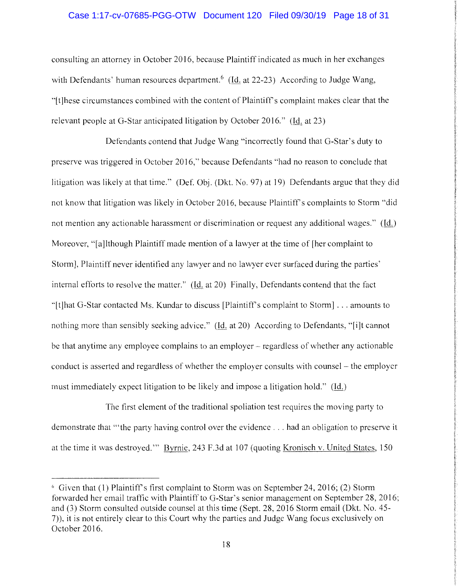### Case 1:17-cv-07685-PGG-OTW Document 120 Filed 09/30/19 Page 18 of 31

consulting an attorney in October 2016, because Plaintiff indicated as much in her exchanges with Defendants' human resources department.<sup>6</sup> (Id. at 22-23) According to Judge Wang, .. [t ]hese circumstances combined with the content of Plaintiff's complaint makes clear that the relevant people at G-Star anticipated litigation by October 2016." (Id. at 23)

Defendants contend that Judge Wang "incorrectly found that G-Star's duty to preserve was triggered in October 2016,'' because Defendants "had no reason to conclude that litigation was likely at that time." (Def. Obj. (Dkt. No. 97) at 19) Defendants argue that they did not know that litigation was likely in October 2016, because Plaintiff's complaints to Storm "did not mention any actionable harassment or discrimination or request any additional wages." (Id.) Moreover, "[a]lthough Plaintiff made mention of a lawyer at the time of [her complaint to Storm], Plaintiff never identified any lawyer and no lawyer ever surfaced during the parties' internal efforts to resolve the matter." (Id. at 20) Finally, Defendants contend that the fact ·'[tJhat G-Star contacted Ms. Kundar to discuss [Plaintiff's complaint to Storm] ... amounts to nothing more than sensibly seeking advice." (Id. at 20) According to Defendants, "[i]t cannot be that anytime any employee complains to an employer – regardless of whether any actionable conduct is asserted and regardless of whether the employer consults with counsel - the employer must immediately expect litigation to be likely and impose a litigation hold." (Id.)

The first element of the traditional spoliation test requires the moving party to demonstrate that "'the party having control over the evidence ... had an obligation to preserve it at the time it was destroyed."' Byrnie, 243 F.3d at 107 (quoting Kronisch v. United States, 150

*c,* Given that (1) Plaintiff's first complaint to Storm was on September 24, 2016; (2) Storm forwarded her email traffic with Plaintiff to G-Star's senior management on September 28, 2016; and (3) Storm consulted outside counsel at this time (Sept. 28, 2016 Storm email (Dkt. No. 45- 7)), it is not entirely clear to this Court why the parties and Judge Wang focus exclusively on October 2016.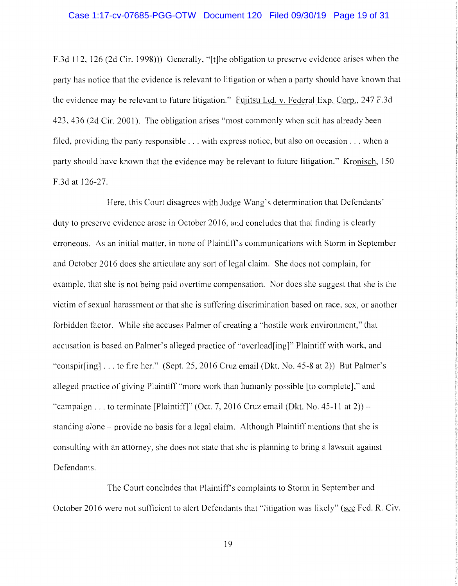#### Case 1:17-cv-07685-PGG-OTW Document 120 Filed 09/30/19 Page 19 of 31

F.3d 112, 126 (2d Cir. 1998))) Generally, "(t]he obligation to preserve evidence arises when the party has notice that the evidence is relevant to litigation or when a party should have known that the evidence may be relevant to future litigation." Fujitsu Ltd. v. Federal Exp. Corp., 247 F.3d 423,436 (2d Cir. 2001). The obligation arises "most commonly when suit has already been filed, providing the party responsible ... with express notice, but also on occasion ... when a party should have known that the evidence may be relevant to future litigation." Kronisch, 150 F.3d at 126-27.

Here, this Court disagrees with Judge Wang's determination that Defendants' duty to preserve evidence arose in October 2016, and concludes that that finding is clearly erroneous. As an initial matter, in none of Plaintiff's communications with Storm in September and October 2016 does she articulate any sort of legal claim. She does not complain, for example, that she is not being paid overtime compensation. Nor does she suggest that she is the victim of sexual harassment or that she is suffering discrimination based on race, sex, or another forbidden factor. While she accuses Palmer of creating a "hostile work environment," that accusation is based on Palmer's alleged practice of "overload[ing]" Plaintiff with work, and ·'conspir[ing] ... to fire her." (Sept. 25, 2016 Cruz email (Dkt. No. 45-8 at 2)) But Palmer's alleged practice of giving Plaintiff"more work than humanly possible [to complete]," and "campaign . . . to terminate [Plaintiff]" (Oct. 7, 2016 Cruz email (Dkt. No. 45-11 at 2)) standing alone - provide no basis for a legal claim. Although Plaintiff mentions that she is consulting with an attorney, she does not state that she is planning to bring a lawsuit against Defendants.

The Court concludes that Plaintiff's complaints to Storm in September and October 2016 were not sufficient to alert Defendants that "litigation was likely" (see Fed. R. Civ.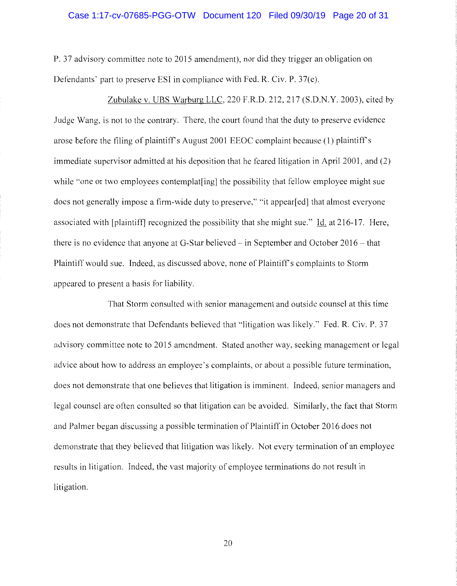#### Case 1:17-cv-07685-PGG-OTW Document 120 Filed 09/30/19 Page 20 of 31

P. 37 advisory committee note to 2015 amendment), nor did they trigger an obligation on Defendants' part to preserve ESI in compliance with Fed. R. Civ. P. 37(e).

Zubulake v. UBS Warburg LLC, 220 F.R.D. 212,217 (S.D.N.Y. 2003), cited by Judge Wang, is not to the contrary. There, the court found that the duty to preserve evidence arose before the filing of plaintiffs August 2001 EEOC complaint because (1) plaintiff's immediate supervisor admitted at his deposition that he feared litigation in April 2001, and (2) while "one or two employees contemplate the possibility that fellow employee might sue does not generally impose a firm-wide duty to preserve," "it appear[ed] that almost everyone associated with [plaintiff] recognized the possibility that she might sue." Id. at 216-17. Here, there is no evidence that anyone at G-Star believed  $-$  in September and October 2016  $-$  that Plaintiff would sue. Indeed, as discussed above, none of Plaintiff's complaints to Storm appeared to present a basis for liability.

That Storm consulted with senior management and outside counsel at this time does not demonstrate that Defendants believed that "litigation was likely." Fed. R. Civ. P. 37 advisory committee note to 2015 amendment. Stated another way, seeking management or legal advice about how to address an employee's complaints, or about a possible future termination, does not demonstrate that one believes that litigation is imminent. Indeed, senior managers and legal counsel are often consulted so that litigation can be avoided. Similarly, the fact that Storm and Palmer began discussing a possible termination of Plaintiff in October 2016 does not demonstrate that they believed that litigation was likely. Not every termination of an employee results in litigation. Indeed, the vast majority of employee terminations do not result in litigation.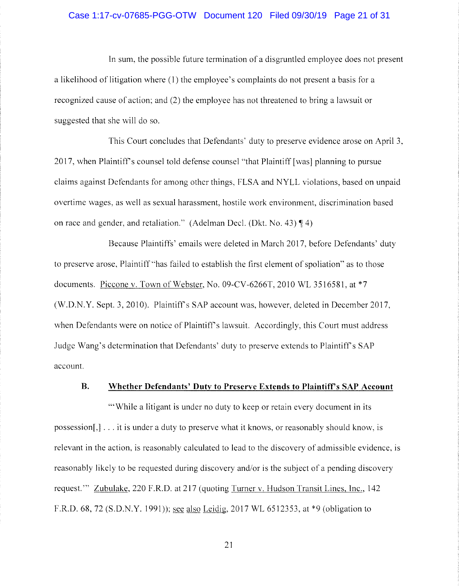### Case 1:17-cv-07685-PGG-OTW Document 120 Filed 09/30/19 Page 21 of 31

In sum, the possible future termination of a disgruntled employee does not present a likelihood of litigation where (1) the employee's complaints do not present a basis for a recognized cause of action; and (2) the employee has not threatened to bring a lawsuit or suggested that she will do so.

This Court concludes that Defendants' duty to preserve evidence arose on April 3, 2017, when Plaintiff's counsel told defense counsel "that Plaintiff [was) planning to pursue claims against Defendants for among other things, FLSA and NYLL violations, based on unpaid overtime wages, as well as sexual harassment, hostile work environment, discrimination based on race and gender, and retaliation." (Adelman Decl. (Dkt. No. 43)  $\P$ 4)

Because Plaintiffs' emails were deleted in March 2017, before Defendants' duty to preserve arose, Plaintiff "has failed to establish the first element of spoliation" as to those documents. Piccone v. Town of Webster, No. 09-CV-6266T, 2010 WL 3516581, at \*7 (W.D.N.Y. Sept. 3, 2010). Plaintiffs SAP account was, however, deleted in December 2017, when Defendants were on notice of Plaintiff's lawsuit. Accordingly, this Court must address Judge Wang's determination that Defendants' duty to preserve extends to Plaintiff's SAP account.

#### **B. Whether Defendants' Duty to Preserve Extends to Plaintifrs SAP Account**

"While a litigant is under no duty to keep or retain every document in its possession[,] ... it is under a duty to preserve what it knows, or reasonably should know, is relevant in the action, is reasonably calculated to lead to the discovery of admissible evidence, is reasonably likely to be requested during discovery and/or is the subject of a pending discovery request."' Zubulake, 220 F.R.D. at 217 (quoting Turner v. Hudson Transit Lines, Inc., 142 F.R.D. 68, 72 **(S.D.N.Y.** 1991)); see also Leidig, 2017 WL 6512353, at \*9 (obligation to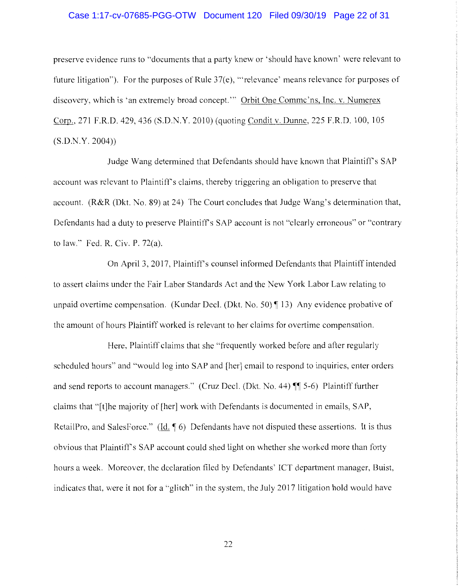### Case 1:17-cv-07685-PGG-OTW Document 120 Filed 09/30/19 Page 22 of 31

preserve evidence runs to "documents that a party knew or 'should have known' were relevant to future litigation"). For the purposes of Rule  $37(e)$ , "relevance' means relevance for purposes of discovery, which is 'an extremely broad concept."' Orbit One Commc'ns, Inc. v. Numerex Corp., 271 F.R.D. 429,436 (S.D.N.Y. 2010) (quoting Condit v. Dunne, 225 F.R.D. 100, 105 (S.D.N.Y. 2004))

Judge Wang determined that Defendants should have known that Plaintiff's SAP account was relevant to Plaintiff's claims, thereby triggering an obligation to preserve that account. (R&R (Dkt. No. 89) at 24) The Court concludes that Judge Wang's determination that, Defendants had a duty to preserve Plaintiff's SAP account is not "clearly erroneous" or "contrary to law." Fed. R. Civ. P. 72(a).

On April 3, 2017, Plaintiff's counsel informed Defendants that Plaintiff intended to assert claims under the Fair Labor Standards Act and the New York Labor Law relating to unpaid overtime compensation. (Kundar Decl. (Dkt. No. 50)  $\P$  13) Any evidence probative of the amount of hours Plaintiff worked is relevant to her claims for overtime compensation.

Here, Plaintiff claims that she "frequently worked before and after regularly scheduled hours" and "would log into SAP and [her] email to respond to inquiries, enter orders and send reports to account managers." (Cruz Decl. (Dkt. No. 44)  $\P$  5-6) Plaintiff further claims that "[t]he majority of [her] work with Defendants is documented in emails, SAP, RetailPro, and SalesForce." (Id.  $\phi$ ) Defendants have not disputed these assertions. It is thus obvious that Plaintiffs SAP account could shed light on whether she worked more than forty hours a week. Moreover, the declaration filed by Defendants' ICT department manager, Buist, indicates that, were it not for a "glitch" in the system, the July 2017 litigation hold would have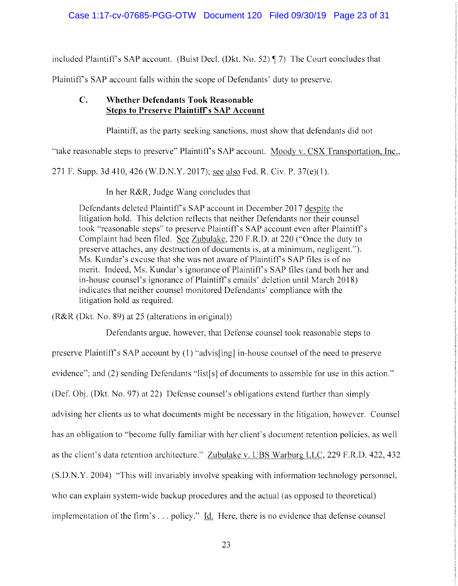included Plaintiff's SAP account. (Buist Decl. (Dkt. No. 52)  $\lll$  7) The Court concludes that

Plaintiffs SAP account falls within the scope of Defendants' duty to preserve.

# **C. Whether Defendants Took Reasonable Steps to Preserve Plaintiff's SAP Account**

Plaintiff, as the party seeking sanctions, must show that defendants did not

"take reasonable steps to preserve" Plaintiff's SAP account. Moody v. CSX Transportation, Inc.,

271 F. Supp. 3d 410,426 (W.D.N.Y. 2017); see also Fed. R. Civ. P. 37(e)(l).

In her R&R, Judge Wang concludes that

Defendants deleted Plaintiff's SAP account in December 2017 despite the litigation hold. This deletion reflects that neither Defendants nor their counsel took "reasonable steps" to preserve Plaintiff's SAP account even after Plaintiff's Complaint had been filed. See Zubulake, 220 F.R.D. at 220 ("Once the duty to preserve attaches, any destruction of documents is, at a minimum, negligent."). Ms. Kundar's excuse that she was not aware of Plaintiff's SAP files is of no merit. Indeed, Ms. Kundar's ignorance of Plaintiff's SAP files (and both her and in-house counsel's ignorance of Plaintiff's emails' deletion until March 2018) indicates that neither counsel monitored Defendants' compliance with the litigation hold as required.

(R&R (Dkt. No. 89) at 25 (alterations in original))

Defendants argue, however, that Defense counsel took reasonable steps to

preserve Plaintiff's SAP account by (1) "advis[ing] in-house counsel of the need to preserve evidence"; and (2) sending Defendants "list[s] of documents to assemble for use in this action." (Def. Obj. (Dkt. No. 97) at 22) Defense counsel's obligations extend further than simply advising her clients as to what documents might be necessary in the litigation, however. Counsel has an obligation to "become fully familiar with her client's document retention policies, as well as the client's data retention architecture." Zubulake v. UBS Warburg LLC, 229 F.R.D. 422, 432 (S.D.N.Y. 2004) '·This will invariably involve speaking with information technology personnel, who can explain system-wide backup procedures and the actual (as opposed to theoretical) implementation of the firm's ... policy." Id. Here, there is no evidence that defense counsel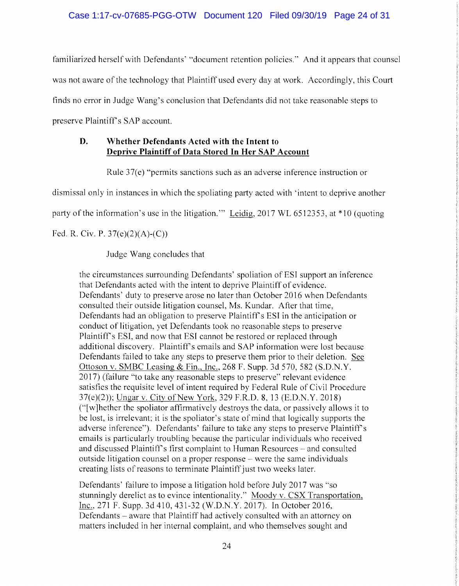familiarized herself with Defendants' "document retention policies." And it appears that counsel was not aware of the technology that Plaintiff used every day at work. Accordingly, this Court finds no error in Judge Wang's conclusion that Defendants did not take reasonable steps to preserve Plaintiff's SAP account.

## **D. Whether Defendants Acted with the Intent to Deprive Plaintiff of Data Stored In Her SAP Account**

Rule 37(e) "permits sanctions such as an adverse inference instruction or

dismissal only in instances in which the spoliating party acted with 'intent to deprive another

party of the information's use in the litigation.'" Leidig, 2017 WL 6512353, at \*10 (quoting

Fed. R. Civ. P. 37(e)(2)(A)-(C))

Judge Wang concludes that

the circumstances surrounding Defendants' spoliation of ESI support an inference that Defendants acted with the intent to deprive Plaintiff of evidence. Defendants' duty to preserve arose no later than October 2016 when Defendants consulted their outside litigation counsel, Ms. Kundar. After that time, Defendants had an obligation to preserve Plaintiff's ESI in the anticipation or conduct of litigation, yet Defendants took no reasonable steps to preserve Plaintiff's ESI, and now that ESI cannot be restored or replaced through additional discovery. Plaintiff's emails and SAP information were lost because Defendants failed to take any steps to preserve them prior to their deletion. See Ottoson v. SMBC Leasing & Fin., Inc., 268 F. Supp. 3d 570, 582 (S.D.N.Y. 2017) (failure "to take any reasonable steps to preserve" relevant evidence satisfies the requisite level of intent required by Federal Rule of Civil Procedure 37(e)(2)); Ungar v. City of New York, 329 F.R.D. 8, 13 (E.D.N.Y. 2018) ("[w ]hether the spoliator affirmatively destroys the data, or passively allows it to be lost, is irrelevant; it is the spoliator's state of mind that logically supports the adverse inference"). Defendants' failure to take any steps to preserve Plaintiff's emails is particularly troubling because the particular individuals who received and discussed Plaintiff's first complaint to Human Resources - and consulted outside litigation counsel on a proper response - were the same individuals creating lists of reasons to terminate Plaintiff just two weeks later.

Defendants' failure to impose a litigation hold before July 2017 was "so stunningly derelict as to evince intentionality." Moody v. CSX Transportation, Inc., 271 F. Supp. 3d 410, 431-32 (W.D.N.Y. 2017). In October 2016, Defendants – aware that Plaintiff had actively consulted with an attorney on matters included in her internal complaint, and who themselves sought and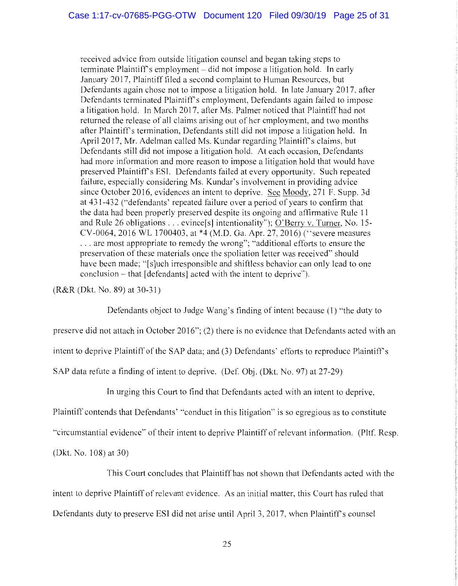received advice from outside litigation counsel and began taking steps to terminate Plaintiff's employment – did not impose a litigation hold. In early January 2017, Plaintiff filed a second complaint to Human Resources, but Defendants again chose not to impose a litigation hold. In late January 2017, after Defendants terminated Plaintiff's employment, Defendants again failed to impose a litigation hold. In March 2017, after Ms. Palmer noticed that Plaintiff had not returned the release of all claims arising out of her employment, and two months after Plaintiff's termination, Defendants still did not impose a litigation hold. In April 2017, Mr. Adelman called Ms. Kundar regarding Plaintiff's claims, but Defendants still did not impose a litigation hold. At each occasion, Defendants had more information and more reason to impose a litigation hold that would have preserved Plaintiff's ESI. Defendants failed at every opportunity. Such repeated failure, especially considering Ms. Kundar's involvement in providing advice since October 2016, evidences an intent to deprive. See Moody, 271 F. Supp. 3d at 431-432 ("defendants' repeated failure over a period of years to confirm that the data had been properly preserved despite its ongoing and affirmative Rule 11 and Rule 26 obligations ... evince[s] intentionality"); O'Berry v. Turner, No. 15- CV-0064, 2016 WL 1700403, at \*4 (M.D. Ga. Apr. 27, 2016) ("severe measures ... are most appropriate to remedy the wrong"; ''additional efforts to ensure the preservation of these materials once the spoliation letter was received" should have been made; "[s]uch irresponsible and shiftless behavior can only lead to one conclusion - that [defendants] acted with the intent to deprive'').

(R&R (Dkt. No. 89) at 30-31)

Defendants object to Judge Wang's finding of intent because (1) "the duty to preserve did not attach in October 2016"; (2) there is no evidence that Defendants acted with an intent to deprive Plaintiff of the SAP data; and (3) Defendants' efforts to reproduce Plaintiff's SAP data refute a finding of intent to deprive. (Def. Obj. (Dkt. No. 97) at 27-29)

In urging this Court to find that Defendants acted with an intent to deprive,

Plaintiff contends that Defendants' "conduct in this litigation" is so egregious as to constitute

''circumstantial evidence" of their intent to deprive Plaintiff of relevant information. (Pltf. Resp.

(Dkt. No. 108) at 30)

This Court concludes that Plaintiff has not shown that Defendants acted with the intent to deprive Plaintiff of relevant evidence. As an initial matter, this Court has ruled that Defendants duty to preserve ESI did not arise until April 3, 2017, when Plaintiff's counsel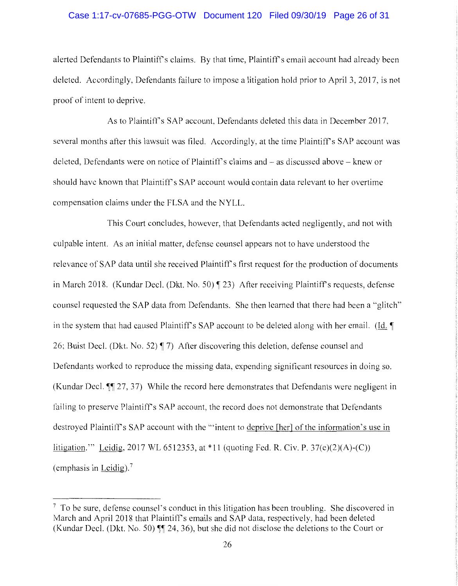### Case 1:17-cv-07685-PGG-OTW Document 120 Filed 09/30/19 Page 26 of 31

alerted Defendants to Plaintiffs claims. By that time, Plaintiff's email account had already been deleted. Accordingly, Defendants failure to impose a litigation hold prior to April 3, 2017, is not proof of intent to deprive.

As to Plaintiff's SAP account, Defendants deleted this data in December 2017, several months after this lawsuit was filed. Accordingly, at the time Plaintiff's SAP account was deleted, Defendants were on notice of Plaintiff's claims and – as discussed above – knew or should have known that Plaintiff's SAP account would contain data relevant to her overtime compensation claims under the FLSA and the NYLL.

This Court concludes, however, that Defendants acted negligently, and not with culpable intent. As an initial matter, defense counsel appears not to have understood the relevance of SAP data until she received Plaintiff's first request for the production of documents in March 2018. (Kundar Decl. (Dkt. No. 50) 123) After receiving Plaintiff's requests, defense counsel requested the SAP data from Defendants. She then learned that there had been a "glitch" in the system that had caused Plaintiff's SAP account to be deleted along with her email. (Id. **[** 26; Buist Decl. (Dkt. No. 52) ¶ 7) After discovering this deletion, defense counsel and Defendants worked to reproduce the missing data, expending significant resources in doing so. (Kundar Decl. **¶** 27, 37) While the record here demonstrates that Defendants were negligent in failing to preserve Plaintiff's SAP account, the record does not demonstrate that Defendants destroyed Plaintiff's SAP account with the "'intent to deprive [her] of the information's use in litigation."' Leidig, 2017 WL 6512353, at \*11 (quoting Fed. R. Civ. P. 37(e)(2)(A)-(C)) (emphasis in Leidig). $<sup>7</sup>$ </sup>

 $<sup>7</sup>$  To be sure, defense counsel's conduct in this litigation has been troubling. She discovered in</sup> March and April 2018 that Plaintiff's emails and SAP data, respectively, had been deleted (Kundar Decl. (Dkt. No. 50) **11** 24, 36), but she did not disclose the deletions to the Court or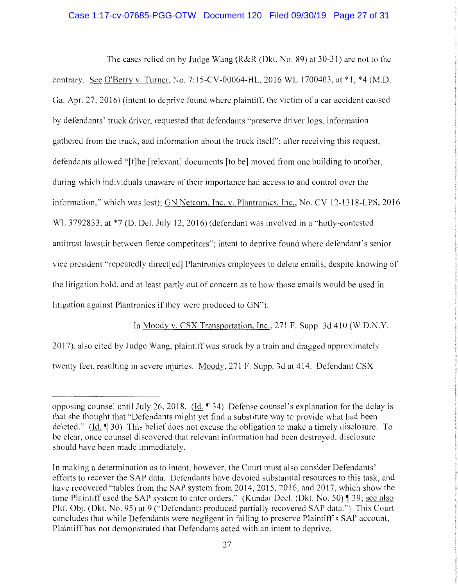### Case 1:17-cv-07685-PGG-OTW Document 120 Filed 09/30/19 Page 27 of 31

The cases relied on by Judge Wang (R&R (Dkt. No. 89) at 30-31) are not to the contrary. See O'Berry v. Turner, No. 7:15-CV-00064-HL, 2016 WL 1700403, at \*1, \*4 (M.D. Ga. Apr. 27, 2016) (intent to deprive found where plaintiff, the victim of a car accident caused by defendants' truck driver, requested that defendants "preserve driver logs, information gathered from the truck, and information about the truck itself'; after receiving this request, defendants allowed "[t]he [relevant] documents [to be] moved from one building to another, during which individuals unaware of their importance had access to and control over the information," which was lost); GN Netcom, Inc. v. Plantronics, Inc., No. CV 12-1318-LPS, 2016 WL 3792833, at \*7 (D. Del. July 12, 2016) (defendant was involved in a "hotly-contested antitrust lawsuit between fierce competitors"; intent to deprive found where defendant's senior vice president "repeatedly direct[ ed] Plantronics employees to delete emails, despite knowing of the litigation hold, and at least partly out of concern as to how those emails would be used in litigation against Plantronics if they were produced to GN").

In Moody v. CSX Transportation, Inc., 271 F. Supp. 3d 410 (W.D.N.Y. 2017), also cited by Judge Wang, plaintiff was struck by a train and dragged approximately twenty feet, resulting in severe injuries. Moody, 271 F. Supp. 3d at 414. Defendant CSX

opposing counsel until July 26, 2018. (Id.  $\llbracket$  34) Defense counsel's explanation for the delay is that she thought that "Defendants might yet find a substitute way to provide what had been deleted." (Id. 1 30) This belief does not excuse the obligation to make a timely disclosure. To be clear, once counsel discovered that relevant information had been destroyed, disclosure should have been made immediately.

In making a determination as to intent, however, the Court must also consider Defendants' efforts to recover the SAP data. Defendants have devoted substantial resources to this task, and have recovered "tables from the SAP system from 2014, 2015, 2016, and 2017, which show the time Plaintiff used the SAP system to enter orders." (Kundar Decl. (Dkt. No. 50) ¶ 39; see also Pltf. Obj. (Dkt. No. 95) at 9 ("Defendants produced partially recovered SAP data.") This Court concludes that while Defendants were negligent in failing to preserve Plaintiff's SAP account, Plaintiff has not demonstrated that Defendants acted with an intent to deprive.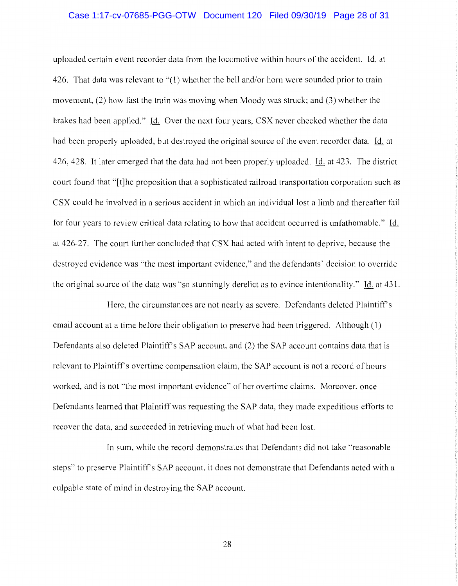# Case 1:17-cv-07685-PGG-OTW Document 120 Filed 09/30/19 Page 28 of 31

uploaded certain event recorder data from the locomotive within hours of the accident. Id. at 426. That data was relevant to "(1) whether the bell and/or horn were sounded prior to train movement, (2) how fast the train was moving when Moody was struck; and (3) whether the brakes had been applied." Id. Over the next four years, CSX never checked whether the data had been properly uploaded, but destroyed the original source of the event recorder data. Id. at 426, 428. It later emerged that the data had not been properly uploaded. Id. at 423. The district court found that "[t]he proposition that a sophisticated railroad transportation corporation such as CSX could be involved in a serious accident in which an individual lost a limb and thereafter fail for four years to review critical data relating to how that accident occurred is unfathomable.'' Id. at 426-27. The court further concluded that CSX had acted with intent to deprive, because the destroyed evidence was "the most important evidence," and the defendants' decision to override the original source of the data was "so stunningly derelict as to evince intentionality." Id. at 431.

Here, the circumstances are not nearly as severe. Defendants deleted Plaintiff's email account at a time before their obligation to preserve had been triggered. Although (1) Defendants also deleted Plaintiff's SAP account, and (2) the SAP account contains data that is relevant to Plaintiffs overtime compensation claim, the SAP account is not a record of hours worked, and is not "the most important evidence" of her overtime claims. Moreover, once Defendants learned that Plaintiff was requesting the SAP data, they made expeditious efforts to recover the data, and succeeded in retrieving much of what had been lost.

In sum, while the record demonstrates that Defendants did not take "reasonable steps" to preserve Plaintiff's SAP account, it does not demonstrate that Defendants acted with a culpable state of mind in destroying the SAP account.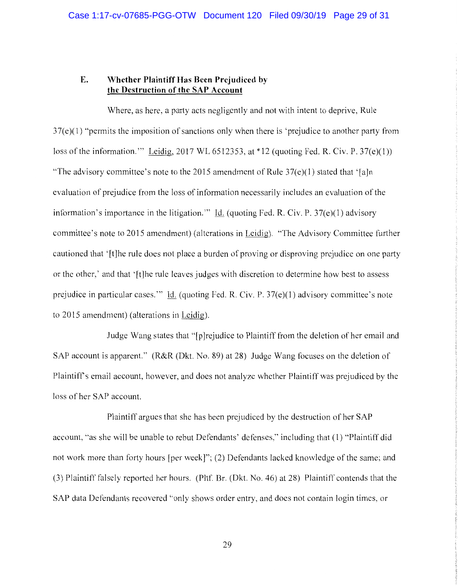### **E. Whether Plaintiff Has Been Prejudiced by the Destruction of the SAP Account**

Where, as here, a party acts negligently and not with intent to deprive, Rule 37(e)(l) "permits the imposition of sanctions only when there is 'prejudice to another party from loss of the information." Leidig, 2017 WL 6512353, at  $*12$  (quoting Fed. R. Civ. P. 37(e)(1)) "The advisory committee's note to the 2015 amendment of Rule  $37(e)(1)$  stated that '[a]n evaluation of prejudice from the loss of information necessarily includes an evaluation of the information's importance in the litigation." Id. (quoting Fed. R. Civ. P.  $37(e)(1)$  advisory committee's note to 2015 amendment) (alterations in Leidig). "The Advisory Committee further cautioned that '[t]he rule does not place a burden of proving or disproving prejudice on one party or the other,' and that '[t]he rule leaves judges with discretion to determine how best to assess prejudice in particular cases."' Id. (quoting Fed. R. Civ. P. 37(e)(l) advisory committee's note to 2015 amendment) (alterations in Leidig).

Judge Wang states that "[p]rejudice to Plaintiff from the deletion of her email and SAP account is apparent." (R&R (Dkt. No. 89) at 28) Judge Wang focuses on the deletion of Plaintiff's email account, however, and does not analyze whether Plaintiff was prejudiced by the loss of her SAP account.

Plaintiff argues that she has been prejudiced by the destruction of her SAP account, "as she will be unable to rebut Defendants' defenses," including that (1) "Plaintiff did not work more than forty hours [per week]"; (2) Defendants lacked knowledge of the same; and (3) Plaintiff falsely reported her hours. (Pltf. Br. (Dkt. No. 46) at 28) Plaintiff contends that the SAP data Defendants recovered "only shows order entry, and does not contain login times, or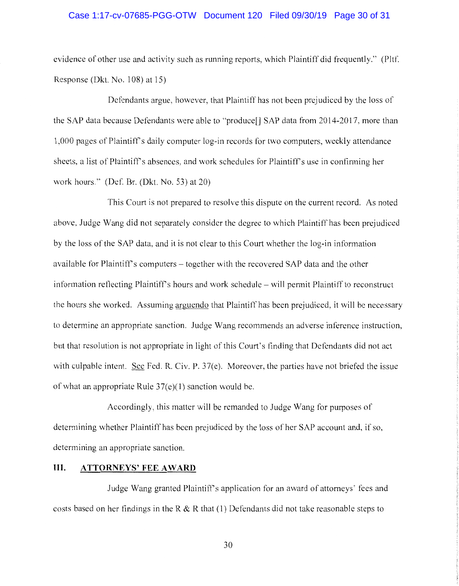### Case 1:17-cv-07685-PGG-OTW Document 120 Filed 09/30/19 Page 30 of 31

evidence of other use and activity such as running reports, which Plaintiff did frequently." (Pltf. Response (Dkt. No.  $108$ ) at 15)

Defendants argue, however, that Plaintiff has not been prejudiced by the loss of the SAP data because Defendants were able to "produce[] SAP data from 2014-2017, more than 1,000 pages of Plaintiff's daily computer log-in records for two computers, weekly attendance sheets. a list of Plaintiff's absences, and work schedules for Plaintiff's use in confirming her work hours." (Def. Br. (Dkt. No. 53) at 20)

This Court is not prepared to resolve this dispute on the current record. As noted above, Judge Wang did not separately consider the degree to which Plaintiff has been prejudiced by the loss of the SAP data, and it is not clear to this Court whether the log-in information available for Plaintiff's computers - together with the recovered SAP data and the other information reflecting Plaintiff's hours and work schedule – will permit Plaintiff to reconstruct the hours she worked. Assuming arguendo that Plaintiff has been prejudiced, it will be necessary to determine an appropriate sanction. Judge Wang recommends an adverse inference instruction, but that resolution is not appropriate in light of this Court's finding that Defendants did not act with culpable intent. See Fed. R. Civ. P. 37(e). Moreover, the parties have not briefed the issue of what an appropriate Rule  $37(e)(1)$  sanction would be.

Accordingly, this matter will be remanded to Judge Wang for purposes of determining whether Plaintiff has been prejudiced by the loss of her SAP account and, if so, determining an appropriate sanction.

#### **III. ATTORNEYS' FEE AWARD**

Judge Wang granted Plaintiff's application for an award of attorneys' fees and costs based on her findings in the R & R that  $(1)$  Defendants did not take reasonable steps to